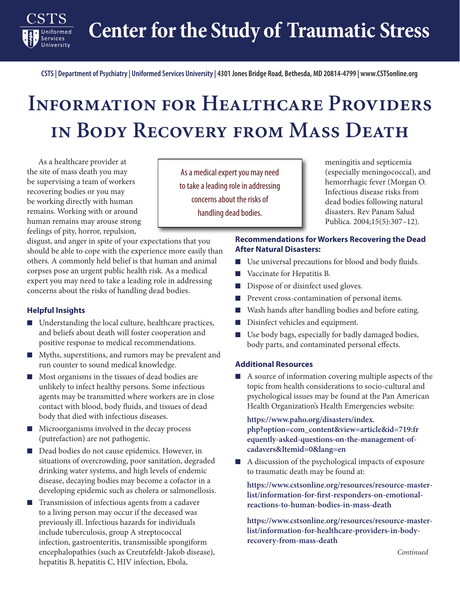**Center for the Study of Traumatic Stress**

**CSTS | Department of Psychiatry | Uniformed Services University | 4301 Jones Bridge Road, Bethesda, MD 20814-4799 | www.CSTSonline.org**

## **Information for Healthcare Providers in Body Recovery from Mass Death**

As a healthcare provider at the site of mass death you may be supervising a team of workers recovering bodies or you may be working directly with human remains. Working with or around human remains may arouse strong feelings of pity, horror, repulsion,

disgust, and anger in spite of your expectations that you should be able to cope with the experience more easily than others. A commonly held belief is that human and animal corpses pose an urgent public health risk. As a medical expert you may need to take a leading role in addressing concerns about the risks of handling dead bodies.

## **Helpful Insights**

Services University

- Understanding the local culture, healthcare practices, and beliefs about death will foster cooperation and positive response to medical recommendations.
- Myths, superstitions, and rumors may be prevalent and run counter to sound medical knowledge.
- Most organisms in the tissues of dead bodies are unlikely to infect healthy persons. Some infectious agents may be transmitted where workers are in close contact with blood, body fluids, and tissues of dead body that died with infectious diseases.
- Microorganisms involved in the decay process (putrefaction) are not pathogenic.
- Dead bodies do not cause epidemics. However, in situations of overcrowding, poor sanitation, degraded drinking water systems, and high levels of endemic disease, decaying bodies may become a cofactor in a developing epidemic such as cholera or salmonellosis.
- Transmission of infectious agents from a cadaver to a living person may occur if the deceased was previously ill. Infectious hazards for individuals include tuberculosis, group A streptococcal infection, gastroenteritis, transmissible spongiform encephalopathies (such as Creutzfeldt-Jakob disease), hepatitis B, hepatitis C, HIV infection, Ebola,

As a medical expert you may need to take a leading role in addressing concerns about the risks of handling dead bodies.

meningitis and septicemia (especially meningococcal), and hemorrhagic fever (Morgan O. Infectious disease risks from dead bodies following natural disasters. Rev Panam Salud Publica. 2004;15(5):307–12).

## **Recommendations for Workers Recovering the Dead After Natural Disasters:**

- Use universal precautions for blood and body fluids.
- Vaccinate for Hepatitis B.
- Dispose of or disinfect used gloves.
- Prevent cross-contamination of personal items.
- Wash hands after handling bodies and before eating.
- Disinfect vehicles and equipment.
- Use body bags, especially for badly damaged bodies, body parts, and contaminated personal effects.

## **Additional Resources**

■ A source of information covering multiple aspects of the topic from health considerations to socio-cultural and psychological issues may be found at the Pan American Health Organization's Health Emergencies website:

**[https://www.paho.org/disasters/index.](https://www.paho.org/disasters/index.php?option=com_content&view=article&id=719) [php?option=com\\_content&view=article&id=719](https://www.paho.org/disasters/index.php?option=com_content&view=article&id=719):fr equently-asked-questions-on-the-management-ofcadavers&Itemid=0&lang=en**

■ A discussion of the psychological impacts of exposure to traumatic death may be found at:

**[https://www.cstsonline.org/resources/resource-master](https://www.cstsonline.org/resources/resource-master-list/information-for-first-responders-on-emotional-reactions-to-human-bodies-in-mass-death)[list/information-for-first-responders-on-emotional](https://www.cstsonline.org/resources/resource-master-list/information-for-first-responders-on-emotional-reactions-to-human-bodies-in-mass-death)[reactions-to-human-bodies-in-mass-death](https://www.cstsonline.org/resources/resource-master-list/information-for-first-responders-on-emotional-reactions-to-human-bodies-in-mass-death)**

■ **[https://www.cstsonline.org/resources/resource-master](https://www.cstsonline.org/resources/resource-master-list/information-for-healthcare-providers-in-body-recovery-from-mass-death)[list/information-for-healthcare-providers-in-body](https://www.cstsonline.org/resources/resource-master-list/information-for-healthcare-providers-in-body-recovery-from-mass-death)[recovery-from-mass-death](https://www.cstsonline.org/resources/resource-master-list/information-for-healthcare-providers-in-body-recovery-from-mass-death)**